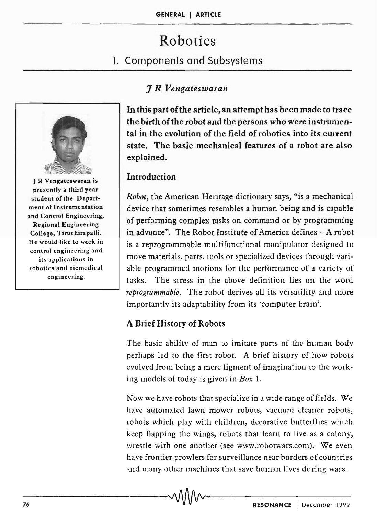# Robotics

# 1. Components and Subsystems

# J *R Vengateswaran*



J R Vengateswaran is presently a third year student of the Department of Instrumentation and Control Engineering, Regional Engineering College, Tiruchirapalli. He would like to work in control engineering and its applications in robotics and biomedical engineering.

In this part of the article, an attempt has been made to trace the birth of the robot and the persons who were instrumental in the evolution of the field of robotics into its current state. The basic mechanical features of a robot are also explained.

# Introduction

*Robot,* the American Heritage dictionary says, "is a mechanical device that sometimes resembles a human being and is capable of performing complex tasks on command or by programming in advance". The Robot Institute of America defines - A robot is a reprogrammable multifunctional manipulator designed to move materials, parts, tools or specialized devices through variable programmed motions for the performance of a variety of tasks. The stress in the above definition lies on the word *reprogrammable.* The robot derives all its versatility and more importantly its adaptability from its 'computer brain'.

## A Brief History of Robots

The basic ability of man to imitate parts of the human body perhaps led to the first robot. A brief history of how robots evolved from being a mere figment of imagination to the working models of today is given in *Box 1.* 

Now we have robots that specialize in a wide range of fields. We have automated lawn mower robots, vacuum cleaner robots, robots which play with children, decorative butterflies which keep flapping the wings, robots that learn to live as a colony, wrestle with one another (see www.robotwars.com). We even have frontier prowlers for surveillance near borders of countries and many other machines that save human lives during wars.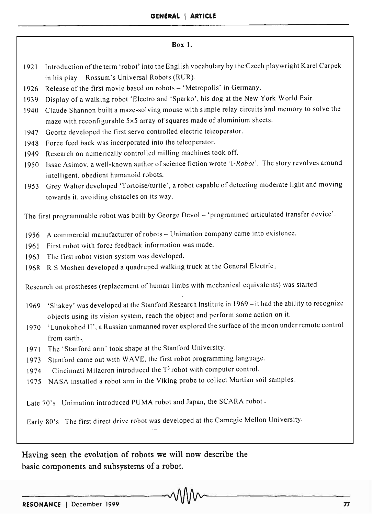#### Box 1.

- 1921 Introduction of the term 'robot' into the English vocabulary by the Czech playwright Karel Carpek in his play - Rossum's Universal Robots (RUR).
- 1926 Release of the first movie based on robots 'Metropolis' in Germany.
- 1939 Display of a walking robot 'Electro and 'Sparko', his dog at the New York World Fair.
- 1940 Claude Shannon built a maze-solving mouse with simple relay circuits and memory to solve the maze with reconfigurable 5x5 array of squares made of aluminium sheets.
- 1947 Geortz developed the first servo controlled electric teleoperator.
- 1948 Force feed back was incorporated into the teleoperator.
- 1949 Research on numerically controlled milling machines took off.
- 1950 Issac Asimov, a well-known author of science fiction wrote *'I-Robot',* The story revolves around intelligent. obedient humanoid robots.
- 1953 Grey Walter developed 'Tortoise/turtle', a robot capable of detecting moderate light and moving towards it, avoiding obstacles on its way.

The first programmable robot was built by George Devol - 'programmed articulated transfer device'.

- 1956 A commercial manufacturer of robots Unimation company came into existence.
- 1961 First robot with force feedback information was made.
- 1963 The first robot vision system was developed.
- 1968 R S Moshen developed a quadruped walking truck at the General Electric.

Research on prostheses (replacement of human limbs with mechanical equivalents) was started

- 1969 'Shakey' was developed at the Stanford Research Institute in 1969 it had the ability to recognize objects using its vision system, reach the object and perform some action on it.
- 1970 'Lunokohod II', a Russian unmanned rover explored the surface of the moon under remote control from earth.
- 1971 The' Stanford arm' took shape at the Stanford University.
- 1973 Stanford came out with W AVE, the first robot programming language.
- 1974 Cincinnati Milacron introduced the T<sup>3</sup> robot with computer control.
- 1975 NASA installed a robot arm in the Viking probe to collect Martian soil samples;

Late 70's Unimation introduced PUMA robot and Japan, the SCARA robot.

Early 80's The first direct drive robot was developed at the Carnegie Mellon University.

Having seen the evolution of robots we will now describe the basic components and subsystems of a robot.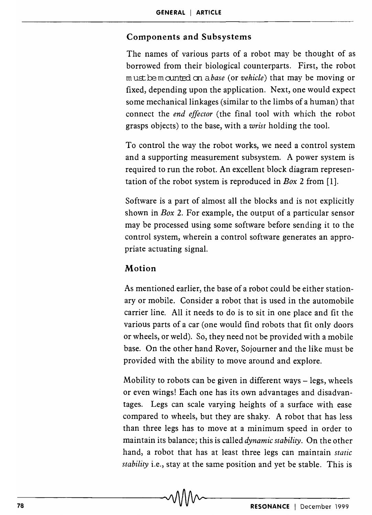### **Components and Subsystems**

The names of various parts of a robot may be thought of as borrowed from their biological counterparts. First, the robot must be mounted on a *base* (or *vehicle*) that may be moving or fixed, depending upon the application. Next, one would expect some mechanical linkages (similar to the limbs of a human) that connect the *end effector* (the final tool with which the robot grasps objects) to the base, with a *wrist* holding the tool.

To control the way the robot works, we need a control system and a supporting measurement subsystem. A power system is required to run the robot. An excellent block diagram representation of the robot system is reproduced in *Box* 2 from [1].

Software is a part of almost all the blocks and is not explicitly shown in *Box* 2. For example, the output of a particular sensor may be processed using some software before sending it to the control system, wherein a control software generates an appropriate actuating signal.

## **Motion**

As mentioned earlier, the base of a robot could be either stationary or mobile. Consider a robot that is used in the automobile carrier line. All it needs to do is to sit in one place and fit the various parts of a car (one would find robots that fit only doors or wheels, or weld). So, they need not be provided with a mobile base. On the other hand Rover, Sojourner and the like must be provided with the ability to move around and explore.

Mobility to robots can be given in different ways  $-$  legs, wheels or even wings! Each one has its own advantages and disadvantages. Legs can scale varying heights of a surface with ease compared to wheels, but they are shaky. A robot that has less than three legs has to move at a minimum speed in order to maintain its balance; this is called *dynamic stability.* On the other hand, a robot that has at least three legs can maintain *static stability* i.e., stay at the same position and yet be stable. This is

-78------------------------------~~--------------------------------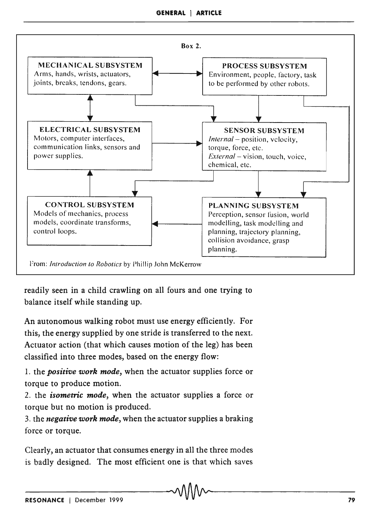

readily seen in a child crawling on all fours and one trying to balance itself while standing up.

An autonomous walking robot must use energy efficiently. For this, the energy supplied by one stride is transferred to the next. Actuator action (that which causes motion of the leg) has been classified into three modes, based on the energy flow:

1. the *positive work mode,* when the actuator supplies force or torque to produce motion.

2. the *isometric mode,* when the actuator supplies a force or torque but no motion is produced.

3. the *negative work mode,* when the actuator supplies a braking force or torque.

Clearly, an actuator that consumes energy in all the three modes is badly designed. The most efficient one is that which saves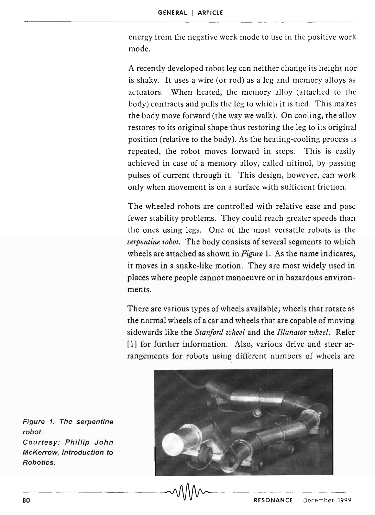energy from the negative work mode to use in the positive work mode.

A recently developed robot leg can neither change its height nor is shaky. It uses a wire (or rod) as a leg and memory alloys as actuators. When heated, the memory alloy (attached to the body) contracts and pulls the leg to which it is tied. This makes the body move forward (the way we walk). On cooling, the alloy restores to its original shape thus restoring the leg to its original position (relative to the body). As the heating-cooling process is repeated, the robot moves forward in steps. This is easily achieved in case of a memory alloy, called nitinol, by passing pulses of current through it. This design, however, can work only when movement is on a surface with sufficient friction.

The wheeled robots are controlled with relative ease and pose fewer stability problems. They could reach greater speeds than the ones using legs. One of the most versatile robots is the *serpentine robot.* The body consists of several segments to which wheels are attached as shown in *Figure* 1. As the name indicates, it moves in a snake-like motion. They are most widely used in places where people cannot manoeuvre or in hazardous environments.

There are various types of wheels available; wheels that rotate as the normal wheels of a car and wheels that are capable of moving sidewards like the *Stanford wheel* and the *Illanator wheel.* Refer [1] for further information. Also, various drive and steer arrangements for robots using different numbers of wheels are

![](_page_4_Picture_5.jpeg)

Figure 1. The serpentine robot. Courtesy: Phillip John McKerrow, Introduction to Robotics.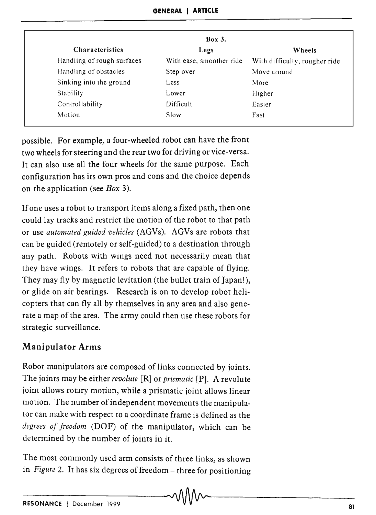|                            | <b>Box 3.</b>            |                               |
|----------------------------|--------------------------|-------------------------------|
| <b>Characteristics</b>     | Legs                     | Wheels                        |
| Handling of rough surfaces | With ease, smoother ride | With difficulty, rougher ride |
| Handling of obstacles      | Step over                | Move around                   |
| Sinking into the ground    | Less                     | More                          |
| Stability                  | Lower                    | Higher                        |
| Controllability            | Difficult                | Easier                        |
| Motion                     | Slow                     | Fast                          |

possible. For example, a four-wheeled robot can have the front two wheels for steering and the rear two for driving or vice-versa. It can also use all the four wheels for the same purpose. Each configuration has its own pros and cons and the choice depends on the application (see *Box 3).* 

If one uses a robot to transport items along a fixed path, then one could lay tracks and restrict the motion of the robot to that path or use *automated guided vehicles* (AGVs). AGVs are robots that can be guided (remotely or self-guided) to a destination through any path. Robots with wings need not necessarily mean that they have wings. It refers to robots that are capable of flying. They may fly by magnetic levitation (the bullet train of Japan!), or glide on air bearings. Research is on to develop robot helicopters that can fly all by themselves in any area and also generate a map of the area. The army could then use these robots for strategic surveillance.

# Manipulator Arms

Robot manipulators are composed of links connected by joints. The joints may be either *revolute* [R] or *prismatic* [P]. A revolute joint allows rotary motion, while a prismatic joint allows linear motion. The number of independent movements the manipulator can make with respect to a coordinate frame is defined as the *degrees of freedom* (DOF) of the manipulator, which can be determined by the number of joints in it.

The most commonly used arm consists of three links, as shown in *Figure* 2. It has six degrees of freedom – three for positioning  $\sim$